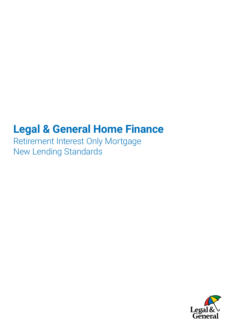# **Legal & General Home Finance**

Retirement Interest Only Mortgage New Lending Standards

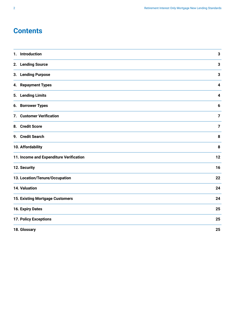## **Contents**

| Introduction<br>1.                      | $\mathbf{3}$            |
|-----------------------------------------|-------------------------|
| 2. Lending Source                       | $\mathbf{3}$            |
| 3. Lending Purpose                      | $\mathbf{3}$            |
| 4. Repayment Types                      | $\overline{\mathbf{4}}$ |
| 5. Lending Limits                       | 4                       |
| 6. Borrower Types                       | 6                       |
| 7. Customer Verification                | $\overline{7}$          |
| 8. Credit Score                         | $\overline{7}$          |
| 9. Credit Search                        | $\pmb{8}$               |
| 10. Affordability                       | 8                       |
| 11. Income and Expenditure Verification | 12                      |
| 12. Security                            | 16                      |
| 13. Location/Tenure/Occupation          |                         |
| 14. Valuation                           |                         |
| 15. Existing Mortgage Customers         |                         |
| 16. Expiry Dates                        | 25                      |
| 17. Policy Exceptions                   | 25                      |
| 18. Glossary                            | 25                      |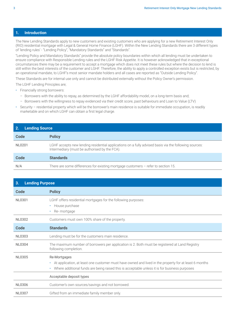#### <span id="page-2-0"></span>**1. Introduction**

The New Lending Standards apply to new customers and existing customers who are applying for a new Retirement Interest Only (RIO) residential mortgage with Legal & General Home Finance (LGHF). Within the New Lending Standards there are 3 different types of 'lending rules' - "Lending Policy", "Mandatory Standards" and "Standards".

"Lending Policy and Mandatory Standards" provide the absolute policy boundaries within which all lending must be undertaken to ensure compliance with Responsible Lending rules and the LGHF Risk Appetite. It is however acknowledged that in exceptional circumstances there may be a requirement to accept a mortgage which does not meet these rules but where the decision to lend is still within the best interests of the customer and LGHF. Therefore, the ability to apply a controlled exception exists but is restricted, by an operational mandate, to LGHF's most senior mandate holders and all cases are reported as "Outside Lending Policy".

These Standards are for internal use only and cannot be distributed externally without the Policy Owner's permission.

The LGHF Lending Principles are;

- Financially strong borrowers:
	- Borrowers with the ability to repay, as determined by the LGHF affordability model, on a long-term basis and;
	- Borrowers with the willingness to repay evidenced via their credit score, past behaviours and Loan to Value (LTV)
- Security residential property which will be the borrower's main residence is suitable for immediate occupation, is readily marketable and on which LGHF can obtain a first legal charge.

| <b>Lending Source</b> |                                                                                                                                                        |  |
|-----------------------|--------------------------------------------------------------------------------------------------------------------------------------------------------|--|
| Code                  | <b>Policy</b>                                                                                                                                          |  |
| NI 0201               | LGHF accepts new lending residential applications on a fully advised basis via the following sources:<br>Intermediary (must be authorised by the FCA). |  |
| Code                  | <b>Standards</b>                                                                                                                                       |  |
| N/A                   | There are some differences for existing mortgage customers $-$ refer to section 15.                                                                    |  |

| 3.<br><b>Lending Purpose</b> |                                                                                                                                                                                                                                          |  |
|------------------------------|------------------------------------------------------------------------------------------------------------------------------------------------------------------------------------------------------------------------------------------|--|
| Code                         | <b>Policy</b>                                                                                                                                                                                                                            |  |
| <b>NL0301</b>                | LGHF offers residential mortgages for the following purposes:<br>House purchase<br>$\bullet$<br>Re-mortgage<br>$\bullet$                                                                                                                 |  |
| <b>NL0302</b>                | Customers must own 100% share of the property.                                                                                                                                                                                           |  |
| Code                         | <b>Standards</b>                                                                                                                                                                                                                         |  |
| <b>NL0303</b>                | Lending must be for the customers main residence.                                                                                                                                                                                        |  |
| <b>NL0304</b>                | The maximum number of borrowers per application is 2. Both must be registered at Land Registry<br>following completion.                                                                                                                  |  |
| <b>NL0305</b>                | Re-Mortgages<br>At application, at least one customer must have owned and lived in the property for at least 6 months<br>$\bullet$<br>Where additional funds are being raised this is acceptable unless it is for business purposes<br>٠ |  |
|                              | Acceptable deposit types                                                                                                                                                                                                                 |  |
| <b>NL0306</b>                | Customer's own sources/savings and not borrowed.                                                                                                                                                                                         |  |
| <b>NL0307</b>                | Gifted from an immediate family member only.                                                                                                                                                                                             |  |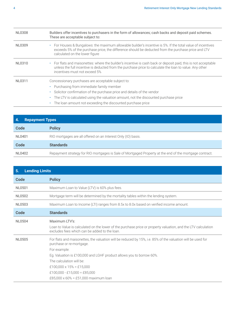<span id="page-3-0"></span>

| <b>NL0308</b> | Builders offer incentives to purchasers in the form of allowances; cash backs and deposit paid schemes.<br>These are acceptable subject to:                                                                                                                                                                                                                       |
|---------------|-------------------------------------------------------------------------------------------------------------------------------------------------------------------------------------------------------------------------------------------------------------------------------------------------------------------------------------------------------------------|
| NL0309        | For Houses & Bungalows: the maximum allowable builder's incentive is 5%. If the total value of incentives<br>$\bullet$<br>exceeds 5% of the purchase price, the difference should be deducted from the purchase price and LTV<br>calculated on the lower figure                                                                                                   |
| NL0310        | For flats and maisonettes: where the builder's incentive is cash back or deposit paid, this is not acceptable<br>$\bullet$<br>unless the full incentive is deducted from the purchase price to calculate the loan to value. Any other<br>incentives must not exceed 5%                                                                                            |
| <b>NL0311</b> | Concessionary purchases are acceptable subject to:<br>Purchasing from immediate family member<br>$\bullet$<br>Solicitor confirmation of the purchase price and details of the vendor<br>٠<br>The LTV is calculated using the valuation amount, not the discounted purchase price<br>$\bullet$<br>The loan amount not exceeding the discounted purchase price<br>٠ |

| <b>EA</b><br><b>Repayment Types</b> |                                                                                                         |  |
|-------------------------------------|---------------------------------------------------------------------------------------------------------|--|
| Code                                | <b>Policy</b>                                                                                           |  |
| NL0401                              | RIO mortgages are all offered on an Interest Only (IO) basis.                                           |  |
| Code                                | <b>Standards</b>                                                                                        |  |
| NL0402                              | Repayment strategy for RIO mortgages is Sale of Mortgaged Property at the end of the mortgage contract. |  |

| <b>Lending Limits</b><br>5. |                                                                                                                                                                                                                                                                                                                                                                    |  |
|-----------------------------|--------------------------------------------------------------------------------------------------------------------------------------------------------------------------------------------------------------------------------------------------------------------------------------------------------------------------------------------------------------------|--|
| Code                        | <b>Policy</b>                                                                                                                                                                                                                                                                                                                                                      |  |
| <b>NL0501</b>               | Maximum Loan to Value (LTV) is 60% plus fees.                                                                                                                                                                                                                                                                                                                      |  |
| <b>NL0502</b>               | Mortgage term will be determined by the mortality tables within the lending system.                                                                                                                                                                                                                                                                                |  |
| NL0503                      | Maximum Loan to Income (LTI) ranges from 8.5x to 8.0x based on verified income amount.                                                                                                                                                                                                                                                                             |  |
| Code                        | <b>Standards</b>                                                                                                                                                                                                                                                                                                                                                   |  |
| <b>NL0504</b>               | Maximum LTV's:<br>Loan to Value is calculated on the lower of the purchase price or property valuation, and the LTV calculation<br>excludes fees which can be added to the loan.                                                                                                                                                                                   |  |
| <b>NL0505</b>               | For flats and maisonettes, the valuation will be reduced by 15%, i.e. 85% of the valuation will be used for<br>purchase or re-mortgage.<br>For example:<br>Eg. Valuation is £100,000 and LGHF product allows you to borrow 60%.<br>The calculation will be:<br>£100,000 x $15\%$ = £15,000<br>£100,000 - £15,000 = £85,000<br>£85,000 x 60% = £51,000 maximum loan |  |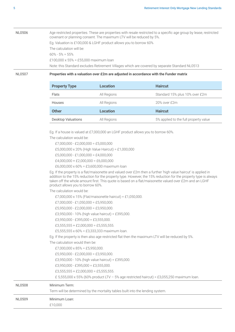### NL0506 Age restricted properties. These are properties with resale restricted to a specific age group by lease, restricted covenant or planning consent. The maximum LTV will be reduced by 5%. Eg. Valuation is £100,000 & LGHF product allows you to borrow 60% The calculation will be:  $60\% - 5\% = 55\%$ £100,000 x 55% = £55,000 maximum loan Note: this Standard excludes Retirement Villages which are covered by separate Standard NL0513

#### NL0507 **Properties with a valuation over £2m are adjusted in accordance with the Funder matrix**

| <b>Property Type</b>      | <b>Location</b> | <b>Haircut</b>                        |
|---------------------------|-----------------|---------------------------------------|
| Flats                     | All Regions     | Standard 15% plus 10% over £2m        |
| <b>Houses</b>             | All Regions     | 20% over £2m                          |
| <b>Other</b>              | <b>Location</b> | <b>Haircut</b>                        |
| <b>Desktop Valuations</b> | All Regions     | 5% applied to the full property value |

Eg. If a house is valued at £7,000,000 an LGHF product allows you to borrow 60%.

The calculation would be:

| £7,000,000 - £2,000,000 = £5,000,000               |
|----------------------------------------------------|
| £5,000,000 x 20% (High Value Haircut) = £1,000,000 |
| $£5.000.000 - £1.000.000 = £4.000.000$             |
| £4,000,000 + £2,000,000 = £6,000,000               |
| £6,000,000 x 60% = £3,600,000 maximum loan         |

Eg. If the property is a flat/maisonette and valued over £2m then a further 'high value haircut' is applied in addition to the 15% reduction for the property type. However, the 15% reduction for the property type is always taken off the whole amount first. This quote is based on a flat/maisonette valued over £2m and an LGHF product allows you to borrow 60%.

The calculation would be:

|        | £7,000,000 x 15% (Flat/maisonette haircut) = £1,050,000.                                         |
|--------|--------------------------------------------------------------------------------------------------|
|        | £7,000,000 - £1,050,000 = £5,950,000.                                                            |
|        | £5,950,000 - £2,000,000 = £3,950,000.                                                            |
|        | £3,950,000 - 10% (high value haircut) = £395,000.                                                |
|        | £3,950,000 - £395,000 = £3,555,000.                                                              |
|        | £3,555,555 + £2,000,000 = £5,555,555.                                                            |
|        | £5,555,555 x 60% = £3,333,333 maximum loan.                                                      |
|        | Eq. If the property is then also age restricted flat then the maximum LTV will be reduced by 5%. |
|        | The calculation would then be:                                                                   |
|        | £7,000,000 x 85% = £5,950,000.                                                                   |
|        | £5,950,000 - £2,000,000 = £3,950,000.                                                            |
|        | £3,950,000 - 10% (high value haircut) = £395,000.                                                |
|        | £3,950,000 - £395,000 = £3,555,000.                                                              |
|        | £3,555,555 + £2,000,000 = £5,555,555.                                                            |
|        | £ 5,555,000 x 55% (60% product LTV - 5% age restricted haircut) = £3,055,250 maximum loan.       |
| NL0508 | Minimum Term:                                                                                    |
|        | Term will be determined by the mortality tables built into the lending system.                   |
| NL0509 | Minimum Loan:                                                                                    |
|        | £10,000                                                                                          |
|        |                                                                                                  |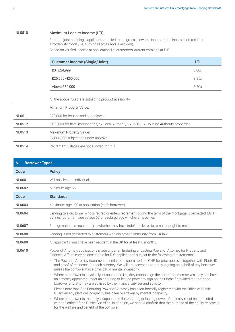<span id="page-5-0"></span>

| <b>NL0510</b> | Maximum Loan to income (LTI):                                                                                                                                        |       |
|---------------|----------------------------------------------------------------------------------------------------------------------------------------------------------------------|-------|
|               | For both joint and single applicants, applied to the gross allowable income (total income entered into<br>affordability model, i.e. sum of all types and % allowed). |       |
|               | Based on verified income at application, i.e. customers' current earnings at DIP.                                                                                    |       |
|               | <b>Customer Income (Single/Joint)</b>                                                                                                                                | LTI   |
|               | £0-£24,999                                                                                                                                                           | 8.00x |
|               | £25,000-£50,000                                                                                                                                                      | 8.25x |
|               | Above £50,000                                                                                                                                                        | 8.50x |
|               | All the above 'rules' are subject to product availability.                                                                                                           |       |
|               | Minimum Property Value:                                                                                                                                              |       |
| <b>NL0511</b> | £70,000 for houses and bungalows                                                                                                                                     |       |
| <b>NL0512</b> | £100,000 for flats, maisonettes, ex-Local Authority/Ex-MOD/Ex-Housing Authority properties                                                                           |       |
| <b>NL0513</b> | Maximum Property Value:<br>£7,000,000 subject to Funder approval.                                                                                                    |       |
| <b>NL0514</b> | Retirement Villages are not allowed for RIO.                                                                                                                         |       |

| <b>Borrower Types</b><br>6. |                                                                                                                                                                                                                                                                                                                                                                                                                                                                                                                                                                                                                                                                                                                                                                                                                                                                                                                                                                                                                         |  |
|-----------------------------|-------------------------------------------------------------------------------------------------------------------------------------------------------------------------------------------------------------------------------------------------------------------------------------------------------------------------------------------------------------------------------------------------------------------------------------------------------------------------------------------------------------------------------------------------------------------------------------------------------------------------------------------------------------------------------------------------------------------------------------------------------------------------------------------------------------------------------------------------------------------------------------------------------------------------------------------------------------------------------------------------------------------------|--|
| Code                        | <b>Policy</b>                                                                                                                                                                                                                                                                                                                                                                                                                                                                                                                                                                                                                                                                                                                                                                                                                                                                                                                                                                                                           |  |
| <b>NL0601</b>               | Will only lend to individuals.                                                                                                                                                                                                                                                                                                                                                                                                                                                                                                                                                                                                                                                                                                                                                                                                                                                                                                                                                                                          |  |
| NL0602                      | Minimum age 55.                                                                                                                                                                                                                                                                                                                                                                                                                                                                                                                                                                                                                                                                                                                                                                                                                                                                                                                                                                                                         |  |
| <b>Code</b>                 | <b>Standards</b>                                                                                                                                                                                                                                                                                                                                                                                                                                                                                                                                                                                                                                                                                                                                                                                                                                                                                                                                                                                                        |  |
| <b>NL0603</b>               | Maximum age - 90 at application (each borrower).                                                                                                                                                                                                                                                                                                                                                                                                                                                                                                                                                                                                                                                                                                                                                                                                                                                                                                                                                                        |  |
| <b>NL0604</b>               | Lending to a customer who is retired or enters retirement during the term of the mortgage is permitted, LGHF<br>defines retirement age as age 67 or declared age whichever is earlier.                                                                                                                                                                                                                                                                                                                                                                                                                                                                                                                                                                                                                                                                                                                                                                                                                                  |  |
| <b>NL0607</b>               | Foreign nationals must confirm whether they have indefinite leave to remain or right to reside.                                                                                                                                                                                                                                                                                                                                                                                                                                                                                                                                                                                                                                                                                                                                                                                                                                                                                                                         |  |
| <b>NL0608</b>               | Lending is not permitted to customers with diplomatic immunity from UK law.                                                                                                                                                                                                                                                                                                                                                                                                                                                                                                                                                                                                                                                                                                                                                                                                                                                                                                                                             |  |
| <b>NL0609</b>               | All applicants must have been resident in the UK for at least 6 months.                                                                                                                                                                                                                                                                                                                                                                                                                                                                                                                                                                                                                                                                                                                                                                                                                                                                                                                                                 |  |
| NL0610                      | Power of Attorney: applications made under an Enduring or Lasting Power of Attorney for Property and<br>Financial Affairs may be acceptable for RIO applications subject to the following requirements:<br>· The Power of Attorney documents needs to be submitted to LGHF for prior approval together with Photo ID<br>and proof of residence for each attorney. We will not accept an attorney signing on behalf of any borrower<br>unless the borrower has a physical or mental incapacity.<br>Where a borrower is physically incapacitated i.e., they cannot sign the document themselves, they can have<br>$\bullet$<br>an attorney appointed under an enduring or lasting power to sign on their behalf provided that both the<br>borrower and attorney are advised by the financial adviser and solicitor.<br>Please note that if an Enduring Power of Attorney has been formally registered with the Office of Public<br>$\bullet$<br>Guardian any physical incapacity has been overtaken by mental incapacity. |  |
|                             | Where a borrower is mentally incapacitated the enduring or lasting power of attorney must be requested<br>$\bullet$<br>with the office of the Public Guardian. In addition, we should confirm that the purpose of the equity release is<br>for the welfare and benefit of the borrower.                                                                                                                                                                                                                                                                                                                                                                                                                                                                                                                                                                                                                                                                                                                                 |  |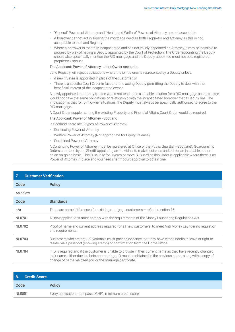- <span id="page-6-0"></span>• "General" Powers of Attorney and "Health and Welfare" Powers of Attorney are not acceptable
- A borrower cannot act in signing the mortgage deed as both Proprietor and Attorney as this is not acceptable to the Land Registry
- Where a borrower is mentally incapacitated and has not validly appointed an Attorney, it may be possible to proceed by way of having a Deputy appointed by the Court of Protection. The Order appointing the Deputy should also specifically mention the RIO mortgage and the Deputy appointed must not be a registered proprietor / spouse.

#### The Applicant: Power of Attorney - Joint Owner scenarios

Land Registry will reject applications where the joint owner is represented by a Deputy unless:

- A new trustee is appointed in place of the customer, or
- There is a specific Court Order in favour of the acting Deputy permitting the Deputy to deal with the beneficial interest of the incapacitated owner.

A newly appointed third-party trustee would not tend to be a suitable solution for a RIO mortgage as the trustee would not have the same obligations or relationship with the incapacitated borrower that a Deputy has. The implication is that for joint owner situations, the Deputy must always be specifically authorised to agree to the RIO mortgage.

A Court Order supplementing the existing Property and Financial Affairs Court Order would be required.

#### The Applicant: Power of Attorney - Scotland

In Scotland, there are 3 types of Power of Attorney.

- Continuing Power of Attorney
- Welfare Power of Attorney (Not appropriate for Equity Release)
- Combined Power of Attorney

A Continuing Power of Attorney must be registered at Office of the Public Guardian (Scotland). Guardianship Orders are made by the Sheriff appointing an individual to make decisions and act for an incapable person on an on-going basis. This is usually for 3 years or more. A Guardianship Order is applicable where there is no Power of Attorney in place and you need sheriff court approval to obtain one.

| <b>Customer Verification</b><br>7. |                                                                                                                                                                                                                                                                                             |  |
|------------------------------------|---------------------------------------------------------------------------------------------------------------------------------------------------------------------------------------------------------------------------------------------------------------------------------------------|--|
| Code                               | <b>Policy</b>                                                                                                                                                                                                                                                                               |  |
| As below                           |                                                                                                                                                                                                                                                                                             |  |
| Code                               | <b>Standards</b>                                                                                                                                                                                                                                                                            |  |
| n/a                                | There are some differences for existing mortgage customers $-$ refer to section 15.                                                                                                                                                                                                         |  |
| NL0701                             | All new applications must comply with the requirements of the Money Laundering Regulations Act.                                                                                                                                                                                             |  |
| NL0702                             | Proof of name and current address required for all new customers, to meet Anti Money Laundering regulation<br>and requirements.                                                                                                                                                             |  |
| NL0703                             | Customers who are not UK Nationals must provide evidence that they have either indefinite leave or right to<br>reside, via a passport (showing stamp) or confirmation from the Home Office.                                                                                                 |  |
| <b>NL0704</b>                      | If ID is required and if the customer is unable to provide in their current name as they have recently changed<br>their name, either due to choice or marriage, ID must be obtained in the previous name, along with a copy of<br>change of name via deed poll or the marriage certificate. |  |

| 8.<br><b>Credit Score</b> |                                                          |
|---------------------------|----------------------------------------------------------|
| Code                      | <b>Policy</b>                                            |
| NL0801                    | Every application must pass LGHF's minimum credit score. |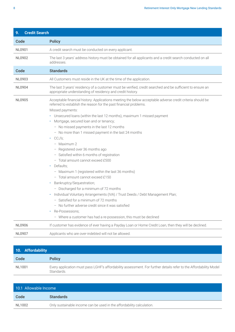<span id="page-7-0"></span>

| <b>Credit Search</b><br>9. |                                                                                                                                                                                                                                                                                                                                                                                                                                                                                                                                                                                                                                                                                                                                                                                                                                                                                                                                                                                                                                                                                             |  |  |  |  |  |  |  |  |
|----------------------------|---------------------------------------------------------------------------------------------------------------------------------------------------------------------------------------------------------------------------------------------------------------------------------------------------------------------------------------------------------------------------------------------------------------------------------------------------------------------------------------------------------------------------------------------------------------------------------------------------------------------------------------------------------------------------------------------------------------------------------------------------------------------------------------------------------------------------------------------------------------------------------------------------------------------------------------------------------------------------------------------------------------------------------------------------------------------------------------------|--|--|--|--|--|--|--|--|
| <b>Code</b>                | <b>Policy</b>                                                                                                                                                                                                                                                                                                                                                                                                                                                                                                                                                                                                                                                                                                                                                                                                                                                                                                                                                                                                                                                                               |  |  |  |  |  |  |  |  |
| <b>NL0901</b>              | A credit search must be conducted on every applicant.                                                                                                                                                                                                                                                                                                                                                                                                                                                                                                                                                                                                                                                                                                                                                                                                                                                                                                                                                                                                                                       |  |  |  |  |  |  |  |  |
| NL0902                     | The last 3 years' address history must be obtained for all applicants and a credit search conducted on all<br>addresses.                                                                                                                                                                                                                                                                                                                                                                                                                                                                                                                                                                                                                                                                                                                                                                                                                                                                                                                                                                    |  |  |  |  |  |  |  |  |
| Code                       | <b>Standards</b>                                                                                                                                                                                                                                                                                                                                                                                                                                                                                                                                                                                                                                                                                                                                                                                                                                                                                                                                                                                                                                                                            |  |  |  |  |  |  |  |  |
| NL0903                     | All Customers must reside in the UK at the time of the application.                                                                                                                                                                                                                                                                                                                                                                                                                                                                                                                                                                                                                                                                                                                                                                                                                                                                                                                                                                                                                         |  |  |  |  |  |  |  |  |
| <b>NL0904</b>              | The last 3 years' residency of a customer must be verified, credit searched and be sufficient to ensure an<br>appropriate understanding of residency and credit history.                                                                                                                                                                                                                                                                                                                                                                                                                                                                                                                                                                                                                                                                                                                                                                                                                                                                                                                    |  |  |  |  |  |  |  |  |
| <b>NL0905</b>              | Acceptable financial history: Applications meeting the below acceptable adverse credit criteria should be<br>referred to establish the reason for the past financial problems.<br>Missed payments:<br>• Unsecured loans (within the last 12 months), maximum 1 missed payment<br>Mortgage, secured loan and or tenancy;<br>٠<br>- No missed payments in the last 12 months<br>- No more than 1 missed payment in the last 24 months<br>$\cdot$ CCJ's;<br>- Maximum 2<br>- Registered over 36 months ago<br>- Satisfied within 6 months of registration<br>- Total amount cannot exceed £500<br>Defaults;<br>$\bullet$<br>- Maximum 1 (registered within the last 36 months)<br>- Total amount cannot exceed £150<br>Bankruptcy/Sequestration;<br>$\bullet$<br>- Discharged for a minimum of 72 months<br>Individual Voluntary Arrangements (IVA) / Trust Deeds / Debt Management Plan;<br>$\bullet$<br>- Satisfied for a minimum of 72 months<br>- No further adverse credit since it was satisfied<br>Re-Possessions;<br>- Where a customer has had a re-possession, this must be declined |  |  |  |  |  |  |  |  |
| <b>NL0906</b>              | If customer has evidence of ever having a Payday Loan or Home Credit Loan, then they will be declined.                                                                                                                                                                                                                                                                                                                                                                                                                                                                                                                                                                                                                                                                                                                                                                                                                                                                                                                                                                                      |  |  |  |  |  |  |  |  |
| NL0907                     | Applicants who are over-indebted will not be allowed.                                                                                                                                                                                                                                                                                                                                                                                                                                                                                                                                                                                                                                                                                                                                                                                                                                                                                                                                                                                                                                       |  |  |  |  |  |  |  |  |

| 10. Affordability |                                                                                                                                 |
|-------------------|---------------------------------------------------------------------------------------------------------------------------------|
| Code              | <b>Policy</b>                                                                                                                   |
| NL1001            | Every application must pass LGHF's affordability assessment. For further details refer to the Affordability Model<br>Standards. |

| 10.1 Allowable Income |                                                                       |
|-----------------------|-----------------------------------------------------------------------|
| Code                  | <b>Standards</b>                                                      |
| NL1002                | Only sustainable income can be used in the affordability calculation. |
|                       |                                                                       |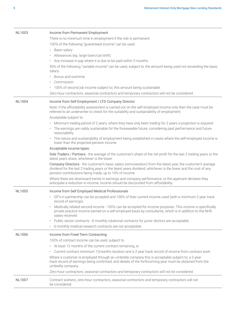| 100% of the following "guaranteed income" can be used:<br>• Basic salary<br>· Allowances (eg. large town/car/shift)<br>• Any increase in pay where it is due to be paid within 3 months<br>salary: | 50% of the following "variable income" can be used, subject to; the amount being used not exceeding the basic                                                                                                                 |
|----------------------------------------------------------------------------------------------------------------------------------------------------------------------------------------------------|-------------------------------------------------------------------------------------------------------------------------------------------------------------------------------------------------------------------------------|
| Bonus and overtime                                                                                                                                                                                 |                                                                                                                                                                                                                               |
| Commission                                                                                                                                                                                         |                                                                                                                                                                                                                               |
| • 100% of second job income subject to; this amount being sustainable                                                                                                                              |                                                                                                                                                                                                                               |
|                                                                                                                                                                                                    | Zero-hour contractors, seasonal contractors and temporary contractors will not be considered.                                                                                                                                 |
| <b>NL1004</b><br>Income from Self Employment / LTD Company Director                                                                                                                                |                                                                                                                                                                                                                               |
| Acceptable subject to:                                                                                                                                                                             | Note: if the affordability assessment is carried out on the self-employed income only then the case must be<br>referred to an underwriter to check for the suitability and sustainability of employment.                      |
|                                                                                                                                                                                                    | · Minimum trading period of 2 years, where they have only been trading for 2 years a projection is required                                                                                                                   |
| reasonability                                                                                                                                                                                      | • The earnings are viably sustainable for the foreseeable future, considering past performance and future                                                                                                                     |
| lower than the projected pension income                                                                                                                                                            | · The nature and sustainability of employment being established in cases where the self-employed income is                                                                                                                    |
| Acceptable income types:                                                                                                                                                                           |                                                                                                                                                                                                                               |
| latest years share, whichever is the lower.                                                                                                                                                        | Sole Traders / Partners - the average of the customer's share of the net profit for the last 2 trading years or the                                                                                                           |
| pension contributions being made, up to 10% of income.                                                                                                                                             | Company Directors - the customer's basic salary (remuneration) from the latest year, the customer's average<br>dividend for the last 2 trading years or the latest years dividend, whichever is the lower and the cost of any |
|                                                                                                                                                                                                    | Where there are downward trends in earnings and company performance, or the applicant declares they<br>anticipate a reduction in income, income should be discounted from affordability.                                      |
| <b>NL1005</b><br>Income from Self Employed Medical Professionals                                                                                                                                   |                                                                                                                                                                                                                               |
| record of earnings).                                                                                                                                                                               | GP's in partnership can be accepted and 100% of their current income used (with a minimum 2-year track                                                                                                                        |
| salary received.                                                                                                                                                                                   | Medically related second income - 100% can be accepted for income purposes. This income is specifically<br>private practice income earned on a self-employed basis by consultants, which is in addition to the NHS            |
| ٠                                                                                                                                                                                                  | Public sector contracts - 6 monthly rotational contracts for junior doctors are acceptable.                                                                                                                                   |
| 6 monthly medical research contracts are not acceptable.<br>٠                                                                                                                                      |                                                                                                                                                                                                                               |
| <b>NL1006</b><br>Income from Fixed Term Contracting                                                                                                                                                |                                                                                                                                                                                                                               |
| 100% of contract income can be used, subject to:                                                                                                                                                   |                                                                                                                                                                                                                               |
| • At least 12 months of the current contract remaining, or                                                                                                                                         |                                                                                                                                                                                                                               |
|                                                                                                                                                                                                    | • Current contract minimum 12months duration and a 2-year track record of income from contract work                                                                                                                           |
| umbrella company.                                                                                                                                                                                  | Where a customer is employed through an umbrella company this is acceptable subject to; a 2-year<br>track record of earnings being confirmed, and details of the forthcoming year must be obtained from the                   |
|                                                                                                                                                                                                    | Zero-hour contractors, seasonal contractors and temporary contractors will not be considered.                                                                                                                                 |
| <b>NL1007</b><br>be considered.                                                                                                                                                                    | Contract workers, zero-hour contractors, seasonal contractors and temporary contractors will not                                                                                                                              |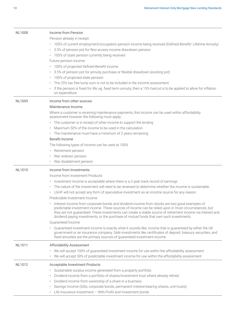| <b>NL1008</b> | Income from Pension<br>Pension already in receipt<br>• 100% of current employment/occupation pension income being received (Defined Benefit/ Lifetime Annuity)<br>3.5% of pension pot for flexi-access income drawdown pension<br>٠<br>• 100% of state pension currently being received<br>Future pension income<br>100% of projected Defined Benefit income<br>3.5% of pension pot for annuity purchase or flexible drawdown (existing pot)<br>٠                                                                                                                                                                                                                                                                                                                                                                                                                                                                                                                                                                                                                                                                                      |
|---------------|----------------------------------------------------------------------------------------------------------------------------------------------------------------------------------------------------------------------------------------------------------------------------------------------------------------------------------------------------------------------------------------------------------------------------------------------------------------------------------------------------------------------------------------------------------------------------------------------------------------------------------------------------------------------------------------------------------------------------------------------------------------------------------------------------------------------------------------------------------------------------------------------------------------------------------------------------------------------------------------------------------------------------------------------------------------------------------------------------------------------------------------|
|               | 100% of projected state pension<br>٠<br>The 25% tax free lump sum is not to be included in the income assessment<br>٠<br>If the pension is fixed for life, eg. fixed term annuity, then a 15% haircut is to be applied to allow for inflation<br>on expenditure                                                                                                                                                                                                                                                                                                                                                                                                                                                                                                                                                                                                                                                                                                                                                                                                                                                                        |
| <b>NL1009</b> | Income from other sources<br>Maintenance Income<br>Where a customer is receiving maintenance payments, this income can be used within affordability<br>assessment however the following must apply;<br>• The customer is in receipt of other income to support the lending<br>Maximum 50% of the income to be used in the calculation<br>• The maintenance must have a minimum of 2 years remaining<br>Benefit Income<br>The following types of income can be used at 100%<br>• Retirement pension<br>War widows' pension<br>٠<br>• War disablement pension                                                                                                                                                                                                                                                                                                                                                                                                                                                                                                                                                                            |
| <b>NL1010</b> | Income from Investments<br>Income from Investment Products<br>• Investment Income is acceptable where there is a 2-year track record of earnings<br>The nature of the investment will need to be reviewed to determine whether the income is sustainable<br>• LGHF will not accept any form of speculative investment as an income source for any reason<br>Predictable Investment Income<br>Interest income from corporate bonds and dividend income from stocks are two good examples of<br>predictable investment income. These sources of income can be relied upon in most circumstances, but<br>they are not guaranteed. These investments can create a stable source of retirement income via interest and<br>dividend paying investments, or the purchase of mutual funds that own such investments.<br>Guaranteed Income<br>Guaranteed investment income is exactly what it sounds like; income that is guaranteed by either the UK<br>government or an insurance company. Safe investments like certificates of deposit, treasury securities, and<br>fixed annuities are the primary sources of guaranteed investment income |
| <b>NL1011</b> | <b>Affordability Assessment</b><br>• We will accept 100% of guaranteed investment income for use within the affordability assessment<br>We will accept 50% of predictable investment income for use within the affordability assessment<br>٠                                                                                                                                                                                                                                                                                                                                                                                                                                                                                                                                                                                                                                                                                                                                                                                                                                                                                           |
| NL1012        | Acceptable Investment Products<br>Sustainable surplus income generated from a property portfolio<br>Dividend income from a portfolio of shares/investment trust where already retired<br>٠<br>Dividend income from ownership of a share in a business<br>٠<br>Savings Income (Gilts, corporate bonds, permanent interest-bearing shares, unit trusts)<br>٠<br>• Life Insurance Investment - With-Profit and Investment bonds                                                                                                                                                                                                                                                                                                                                                                                                                                                                                                                                                                                                                                                                                                           |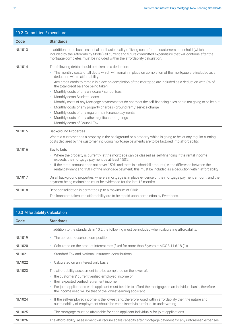| 10.2 Committed Expenditure |                                                                                                                                                                                                                                                                                                            |  |  |  |  |  |
|----------------------------|------------------------------------------------------------------------------------------------------------------------------------------------------------------------------------------------------------------------------------------------------------------------------------------------------------|--|--|--|--|--|
| <b>Code</b>                | <b>Standards</b>                                                                                                                                                                                                                                                                                           |  |  |  |  |  |
| <b>NL1013</b>              | In addition to the basic essential and basic quality of living costs for the customers household (which are<br>included by the Affordability Model) all current and future committed expenditure that will continue after the<br>mortgage completes must be included within the affordability calculation. |  |  |  |  |  |
| <b>NL1014</b>              | The following debts should be taken as a deduction:                                                                                                                                                                                                                                                        |  |  |  |  |  |
|                            | • The monthly costs of all debts which will remain in place on completion of the mortgage are included as a<br>deduction within affordability.                                                                                                                                                             |  |  |  |  |  |
|                            | Any credit cards to remain in place on completion of the mortgage are included as a deduction with 3% of<br>the total credit balance being taken.                                                                                                                                                          |  |  |  |  |  |
|                            | Monthly costs of any childcare / school fees<br>٠                                                                                                                                                                                                                                                          |  |  |  |  |  |
|                            | • Monthly costs Student Loans                                                                                                                                                                                                                                                                              |  |  |  |  |  |
|                            | Monthly costs of any Mortgage payments that do not meet the self-financing rules or are not going to be let out<br>Monthly costs of any property charges - ground rent / service charge                                                                                                                    |  |  |  |  |  |
|                            | ٠<br>Monthly costs of any regular maintenance payments<br>$\bullet$                                                                                                                                                                                                                                        |  |  |  |  |  |
|                            | Monthly costs of any other significant outgoings                                                                                                                                                                                                                                                           |  |  |  |  |  |
|                            | • Monthly costs of Council Tax                                                                                                                                                                                                                                                                             |  |  |  |  |  |
| <b>NL1015</b>              | <b>Background Properties</b>                                                                                                                                                                                                                                                                               |  |  |  |  |  |
|                            | Where a customer has a property in the background or a property which is going to be let any regular running<br>costs declared by the customer, including mortgage payments are to be factored into affordability.                                                                                         |  |  |  |  |  |
| <b>NL1016</b>              | Buy to Lets                                                                                                                                                                                                                                                                                                |  |  |  |  |  |
|                            | • Where the property is currently let the mortgage can be classed as self-financing if the rental income<br>exceeds the mortgage payment by at least 150%                                                                                                                                                  |  |  |  |  |  |
|                            | If the rental amount does not cover 150% and there is a shortfall amount (i.e. the difference between the<br>rental payment and 150% of the mortgage payment) this must be included as a deduction within affordability                                                                                    |  |  |  |  |  |
| <b>NL1017</b>              | On all background properties, where a mortgage is in place evidence of the mortgage payment amount, and the<br>payment being maintained must be evidenced for the last 12 months.                                                                                                                          |  |  |  |  |  |
| <b>NL1018</b>              | Debt consolidation is permitted up to a maximum of £30k.                                                                                                                                                                                                                                                   |  |  |  |  |  |
|                            | The loans not taken into affordability are to be repaid upon completion by Eversheds.                                                                                                                                                                                                                      |  |  |  |  |  |

| 10.3 Affordability Calculation |                                                                                                                                                                                                                                                                                                                                                          |  |  |  |
|--------------------------------|----------------------------------------------------------------------------------------------------------------------------------------------------------------------------------------------------------------------------------------------------------------------------------------------------------------------------------------------------------|--|--|--|
| Code                           | <b>Standards</b>                                                                                                                                                                                                                                                                                                                                         |  |  |  |
|                                | In addition to the standards in 10.2 the following must be included when calculating affordability;                                                                                                                                                                                                                                                      |  |  |  |
| <b>NL1019</b>                  | • The correct household composition                                                                                                                                                                                                                                                                                                                      |  |  |  |
| NL1020                         | Calculated on the product interest rate (fixed for more than $5$ years $-$ MCOB 11.6.18 (1))<br>٠                                                                                                                                                                                                                                                        |  |  |  |
| NL1021                         | Standard Tax and National Insurance contributions                                                                                                                                                                                                                                                                                                        |  |  |  |
| <b>NL1022</b>                  | Calculated on an interest only basis<br>$\bullet$                                                                                                                                                                                                                                                                                                        |  |  |  |
| NL1023                         | The affordability assessment is to be completed on the lower of;<br>the customers' current verified employed income or<br>٠<br>their expected verified retirement income<br>For joint applications each applicant must be able to afford the mortgage on an individual basis, therefore,<br>the income used will be that of the lowest earning applicant |  |  |  |
| <b>NL1024</b>                  | If the self-employed income is the lowest and, therefore, used within affordability then the nature and<br>$\bullet$<br>sustainability of employment should be established via a referral to underwriting                                                                                                                                                |  |  |  |
| <b>NL1025</b>                  | The mortgage must be affordable for each applicant individually for joint applications<br>$\bullet$                                                                                                                                                                                                                                                      |  |  |  |
| <b>NL1026</b>                  | The afford-ability assessment will require spare capacity after mortgage payment for any unforeseen expenses.                                                                                                                                                                                                                                            |  |  |  |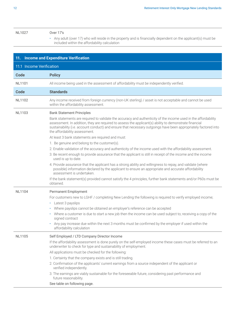#### <span id="page-11-0"></span>NL1027 Over 17's

• Any adult (over 17) who will reside in the property and is financially dependent on the applicant(s) must be included within the affordability calculation

|                          | 11. Income and Expenditure Verification                                                                                                                                                                                                                                                                                                                                                                                                                                                                                                                                                                                                                                                                                                                                                                                                                                                                                                                                                                                                                                                                                                                      |
|--------------------------|--------------------------------------------------------------------------------------------------------------------------------------------------------------------------------------------------------------------------------------------------------------------------------------------------------------------------------------------------------------------------------------------------------------------------------------------------------------------------------------------------------------------------------------------------------------------------------------------------------------------------------------------------------------------------------------------------------------------------------------------------------------------------------------------------------------------------------------------------------------------------------------------------------------------------------------------------------------------------------------------------------------------------------------------------------------------------------------------------------------------------------------------------------------|
| 11.1 Income Verification |                                                                                                                                                                                                                                                                                                                                                                                                                                                                                                                                                                                                                                                                                                                                                                                                                                                                                                                                                                                                                                                                                                                                                              |
| <b>Code</b>              | <b>Policy</b>                                                                                                                                                                                                                                                                                                                                                                                                                                                                                                                                                                                                                                                                                                                                                                                                                                                                                                                                                                                                                                                                                                                                                |
| <b>NL1101</b>            | All income being used in the assessment of affordability must be independently verified.                                                                                                                                                                                                                                                                                                                                                                                                                                                                                                                                                                                                                                                                                                                                                                                                                                                                                                                                                                                                                                                                     |
| <b>Code</b>              | <b>Standards</b>                                                                                                                                                                                                                                                                                                                                                                                                                                                                                                                                                                                                                                                                                                                                                                                                                                                                                                                                                                                                                                                                                                                                             |
| <b>NL1102</b>            | Any income received from foreign currency (non-UK sterling) / asset is not acceptable and cannot be used<br>within the affordability assessment.                                                                                                                                                                                                                                                                                                                                                                                                                                                                                                                                                                                                                                                                                                                                                                                                                                                                                                                                                                                                             |
| <b>NL1103</b>            | <b>Bank Statement Principles</b><br>Bank statements are required to validate the accuracy and authenticity of the income used in the affordability<br>assessment. In addition, they are required to assess the applicant(s) ability to demonstrate financial<br>sustainability (i.e. account conduct) and ensure that necessary outgoings have been appropriately factored into<br>the affordability assessment.<br>At least 3 bank statements are required and must:<br>1. Be genuine and belong to the customer(s).<br>2. Enable validation of the accuracy and authenticity of the income used with the affordability assessment.<br>3. Be recent enough to provide assurance that the applicant is still in receipt of the income and the income<br>used is up to date.<br>4. Provide assurance that the applicant has a strong ability and willingness to repay, and validate (where<br>possible) information declared by the applicant to ensure an appropriate and accurate affordability<br>assessment is undertaken.<br>If the bank statement(s) provided cannot satisfy the 4 principles, further bank statements and/or P60s must be<br>obtained. |
| <b>NL1104</b>            | Permanent Employment<br>For customers new to LGHF / completing New Lending the following is required to verify employed income;<br>• Latest 3 payslips<br>Where payslips cannot be obtained an employer's reference can be accepted<br>٠<br>• Where a customer is due to start a new job then the income can be used subject to; receiving a copy of the<br>signed contract<br>Any pay increase due within the next 3 months must be confirmed by the employer if used within the<br>٠<br>affordability calculation                                                                                                                                                                                                                                                                                                                                                                                                                                                                                                                                                                                                                                          |
| <b>NL1105</b>            | Self Employed / LTD Company Director Income<br>If the affordability assessment is done purely on the self-employed income these cases must be referred to an<br>underwriter to check for type and sustainability of employment.<br>All applications must be checked for the following:<br>1. Certainty that the company exists and is still trading.<br>2. Confirmation of the applicants' current earnings from a source independent of the applicant or<br>verified independently.<br>3. The earnings are viably sustainable for the foreseeable future, considering past performance and<br>future reasonability.<br>See table on following page.                                                                                                                                                                                                                                                                                                                                                                                                                                                                                                         |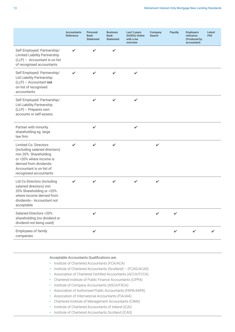|                                                                                                                                                                                             | <b>Accountants</b><br><b>Reference</b> | <b>Personal</b><br><b>Bank</b><br><b>Statement</b> | <b>Business</b><br><b>Bank</b><br><b>Statement</b> | Last 3 years<br><b>SA302s Online</b><br>with a tax<br>overview | Company<br><b>Search</b> | <b>Payslip</b> | <b>Employers</b><br>reference<br>(Produced by<br>accountant) | Latest<br><b>P60</b> |
|---------------------------------------------------------------------------------------------------------------------------------------------------------------------------------------------|----------------------------------------|----------------------------------------------------|----------------------------------------------------|----------------------------------------------------------------|--------------------------|----------------|--------------------------------------------------------------|----------------------|
| Self Employed/ Partnership/<br><b>Limited Liability Partnership</b><br>(LLP) - Accountant is on list<br>of recognised accountants                                                           | ✔                                      | ✔                                                  | V                                                  |                                                                |                          |                |                                                              |                      |
| Self Employed/ Partnership/<br>Ltd Liability Partnership<br>$(LLP)$ - Accountant not<br>on list of recognised<br>accountants                                                                | $\mathbf{v}$                           | V                                                  | ✓                                                  | $\checkmark$                                                   |                          |                |                                                              |                      |
| Self Employed/ Partnership/<br>Ltd Liability Partnership<br>(LLP) - Prepares own<br>accounts or self-assess                                                                                 |                                        | ✓                                                  | V                                                  | $\checkmark$                                                   |                          |                |                                                              |                      |
| Partner with minority<br>shareholding eg. large<br>law firm                                                                                                                                 |                                        | V                                                  |                                                    | $\checkmark$                                                   |                          |                |                                                              |                      |
| Limited Co. Directors<br>(including salaried directors)<br>min 20% Shareholding<br>or <20% where income is<br>derived from dividends-<br>Accountant is on list of<br>recognised accountants |                                        | ✓                                                  | V                                                  |                                                                | ✓                        |                |                                                              |                      |
| Ltd Co Directors (including<br>salaried directors) min<br>20% Shareholding or <20%<br>where income derived from<br>dividends- Accountant not<br>acceptable                                  | ✔                                      | ✔                                                  | ✔                                                  | ✓                                                              | ✓                        |                |                                                              |                      |
| Salaried Directors <20%<br>shareholding (no dividend or<br>dividend not being used)                                                                                                         |                                        | ✓                                                  |                                                    |                                                                |                          | V              |                                                              |                      |
| Employees of family<br>companies                                                                                                                                                            |                                        | $\checkmark$                                       |                                                    |                                                                |                          | $\checkmark$   | $\checkmark$                                                 | ✔                    |

#### Acceptable Accountants Qualifications are:

- Institute of Chartered Accountants (FCA/ACA)
- Institute of Chartered Accountants (Scotland) (FCAS/ACAS)
- Association of Chartered Certified Accountants (ACCA/FCCA)
- Chartered Institute of Public Finance Accountants (CIPFA)
- Institute of Company Accountants (ASCA/FSCA)
- Association of Authorised Public Accountants (FAPA/AAPA)
- Association of International Accountants (FIA/AIA)
- Chartered Institute of Management Accountants (CIMA)
- Institute of Chartered Accountants of Ireland (ICAI)
- Institute of Chartered Accountants Scotland (ICAS)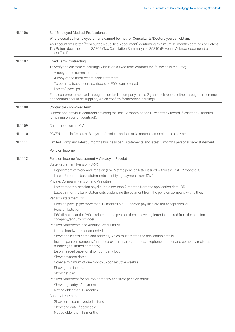| NL1106        | Self Employed Medical Professionals                                                                                                                                               |
|---------------|-----------------------------------------------------------------------------------------------------------------------------------------------------------------------------------|
|               | Where usual self-employed criteria cannot be met for Consultants/Doctors you can obtain:                                                                                          |
|               | An Accountants letter (from suitably qualified Accountant) confirming minimum 12 months earnings or, Latest                                                                       |
|               | Tax Return documentation SA302 (Tax Calculation Summary) or, SA310 (Revenue Acknowledgement) plus                                                                                 |
|               | Latest Tax Return.                                                                                                                                                                |
| NL1107        | <b>Fixed Term Contracting</b>                                                                                                                                                     |
|               | To verify the customers earnings who is on a fixed term contract the following is required;                                                                                       |
|               | • A copy of the current contract                                                                                                                                                  |
|               | • A copy of the most recent bank statement                                                                                                                                        |
|               | • To obtain a track record contracts or P60s can be used                                                                                                                          |
|               | • Latest 3 payslips                                                                                                                                                               |
|               | For a customer employed through an umbrella company then a 2-year track record, either through a reference<br>or accounts should be supplied, which confirm forthcoming earnings. |
| <b>NL1108</b> | Contractor - non-fixed term                                                                                                                                                       |
|               | Current and previous contracts covering the last 12-month period (2-year track record if less than 3 months<br>remaining on current contract).                                    |
|               |                                                                                                                                                                                   |
| <b>NL1109</b> | Customers current CV.                                                                                                                                                             |
| <b>NL1110</b> | PAYE/Umbrella Co: latest 3 payslips/invoices and latest 3 months personal bank statements.                                                                                        |
| <b>NL1111</b> | Limited Company: latest 3 months business bank statements and latest 3 months personal bank statement.                                                                            |
|               | Pension Income                                                                                                                                                                    |
| <b>NL1112</b> | Pension Income Assessment - Already in Receipt                                                                                                                                    |
|               | State Retirement Pension (SRP)                                                                                                                                                    |
|               | Department of Work and Pension (DWP) state pension letter issued within the last 12 months; OR<br>٠                                                                               |
|               | Latest 3 months bank statements identifying payment from DWP<br>$\bullet$ .                                                                                                       |
|               | Private/Company Pension and Annuities                                                                                                                                             |
|               | Latest monthly pension payslip (no older than 2 months from the application date) OR<br>٠                                                                                         |
|               | • Latest 3 months bank statements evidencing the payment from the pension company with either:                                                                                    |
|               | Pension statement, or:                                                                                                                                                            |
|               | Pension payslip (no more than 12 months old - undated payslips are not acceptable), or<br>٠                                                                                       |
|               | Pension letter, or                                                                                                                                                                |
|               | P60 (if not clear the P60 is related to the pension then a covering letter is required from the pension<br>company/annuity provider)                                              |
|               | Pension Statements and Annuity Letters must:                                                                                                                                      |
|               | Not be handwritten or amended<br>$\bullet$                                                                                                                                        |
|               | Show applicant's name and address, which must match the application details<br>٠                                                                                                  |
|               | Include pension company/annuity provider's name, address, telephone number and company registration<br>٠<br>number (if a limited company)                                         |
|               | Be on headed paper or show company logo<br>٠                                                                                                                                      |
|               | Show payment dates<br>٠                                                                                                                                                           |
|               | • Cover a minimum of one month (5 consecutive weeks)                                                                                                                              |
|               | Show gross income<br>$\bullet$                                                                                                                                                    |
|               | Show net pay<br>٠                                                                                                                                                                 |
|               | Pension Statement for private/company and state pension must:                                                                                                                     |
|               | Show regularity of payment<br>٠                                                                                                                                                   |
|               | Not be older than 12 months                                                                                                                                                       |
|               | Annuity Letters must:                                                                                                                                                             |
|               | Show lump sum invested in fund<br>٠                                                                                                                                               |
|               | Show end date if applicable<br>٠                                                                                                                                                  |
|               | Not be older than 12 months<br>$\bullet$                                                                                                                                          |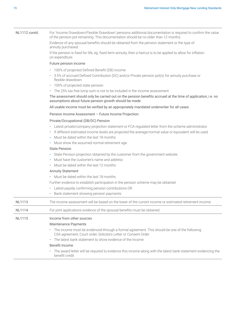NL1112 contd. For 'Income Drawdown/Flexible Drawdown' pensions additional documentation is required to confirm the value of the pension pot remaining. This documentation should be no older than 12 months.

> Evidence of any spousal benefits should be obtained from the pension statement or the type of annuity purchased.

If the pension is fixed for life, eg. fixed term annuity, then a haircut is to be applied to allow for inflation on expenditure.

#### Future pension income

- 100% of projected Defined Benefit (DB) income
- 3.5% of accrued Defined Contribution (DC) and/or Private pension pot(s) for annuity purchase or flexible drawdown
- 100% of projected state pension
- The 25% tax free lump sum is not to be included in the income assessment

The assessment should only be carried out on the pension benefits accrued at the time of application, i.e. no assumptions about future pension growth should be made

#### All usable income must be verified by an appropriately mandated underwriter for all cases

Pension Income Assessment – Future Income Projection:

#### Private/Occupational (DB/DC) Pension

- Latest private/company projection statement or FCA regulated letter from the scheme administrator
- If different estimated income levels are projected the average/normal value or equivalent will be used
- Must be dated within the last 18 months
- Must show the assumed normal retirement age

#### State Pension

- State Pension projection obtained by the customer from the government website
- Must have the customer's name and address
- Must be dated within the last 12 months

#### Annuity Statement

• Must be dated within the last 18 months

Further evidence to establish participation in the pension scheme may be obtained

- Latest payslip confirming pension contributions OR
- Bank statement showing pension payments

| The income assessment will be based on the lower of the current income or estimated retirement income.<br>NL1113 |  |
|------------------------------------------------------------------------------------------------------------------|--|
|------------------------------------------------------------------------------------------------------------------|--|

NL1114 For joint applications evidence of the spousal benefits must be obtained.

#### NL1115 Income from other sources

#### Maintenance Payments

- The income must be evidenced through a formal agreement. This should be one of the following: CSA agreement, Court order, Solicitors Letter or Consent Order
- The latest bank statement to show evidence of the income

#### Benefit Income

• The award letter will be required to evidence this income along with the latest bank statement evidencing the benefit credit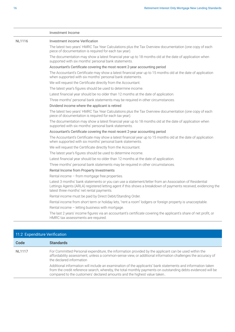<span id="page-15-0"></span>

|               | Investment Income                                                                                                                                                                                                                                                    |
|---------------|----------------------------------------------------------------------------------------------------------------------------------------------------------------------------------------------------------------------------------------------------------------------|
| <b>NL1116</b> | Investment income Verification                                                                                                                                                                                                                                       |
|               | The latest two years' HMRC Tax Year Calculations plus the Tax Overview documentation (one copy of each<br>piece of documentation is required for each tax year).                                                                                                     |
|               | The documentation may show a latest financial year up to 18 months old at the date of application when<br>supported with six months' personal bank statements.                                                                                                       |
|               | Accountant's Certificate covering the most recent 2-year accounting period                                                                                                                                                                                           |
|               | The Accountant's Certificate may show a latest financial year up to 15 months old at the date of application<br>when supported with six months' personal bank statements.                                                                                            |
|               | We will request the Certificate directly from the Accountant.                                                                                                                                                                                                        |
|               | The latest year's figures should be used to determine income.                                                                                                                                                                                                        |
|               | Latest financial year should be no older than 12 months at the date of application.                                                                                                                                                                                  |
|               | Three months' personal bank statements may be required in other circumstances.                                                                                                                                                                                       |
|               | Dividend income where the applicant is retired                                                                                                                                                                                                                       |
|               | The latest two years' HMRC Tax Year Calculations plus the Tax Overview documentation (one copy of each<br>piece of documentation is required for each tax year).                                                                                                     |
|               | The documentation may show a latest financial year up to 18 months old at the date of application when<br>supported with six months' personal bank statements.                                                                                                       |
|               | Accountant's Certificate covering the most recent 2-year accounting period                                                                                                                                                                                           |
|               | The Accountant's Certificate may show a latest financial year up to 15 months old at the date of application<br>when supported with six months' personal bank statements.                                                                                            |
|               | We will request the Certificate directly from the Accountant.                                                                                                                                                                                                        |
|               | The latest year's figures should be used to determine income.                                                                                                                                                                                                        |
|               | Latest financial year should be no older than 12 months at the date of application.                                                                                                                                                                                  |
|               | Three months' personal bank statements may be required in other circumstances.                                                                                                                                                                                       |
|               | Rental Income from Property Investments                                                                                                                                                                                                                              |
|               | Rental income - from mortgage free properties.                                                                                                                                                                                                                       |
|               | Latest 3 months' bank statements or you can use a statement/letter from an Association of Residential<br>Lettings Agents (ARLA) registered letting agent if this shows a breakdown of payments received, evidencing the<br>latest three months' net rental payments. |
|               | Rental income must be paid by Direct Debit/Standing Order.                                                                                                                                                                                                           |
|               | Rental income from short term or holiday lets, "rent a room" lodgers or foreign property is unacceptable.                                                                                                                                                            |
|               | Rental income - letting business with mortgage.                                                                                                                                                                                                                      |
|               | The last 2 years' income figures via an accountant's certificate covering the applicant's share of net profit, or<br>HMRC tax assessments are required.                                                                                                              |

| 11.2 Expenditure Verification |                                                                                                                                                                                                                                                                                                        |
|-------------------------------|--------------------------------------------------------------------------------------------------------------------------------------------------------------------------------------------------------------------------------------------------------------------------------------------------------|
| Code                          | <b>Standards</b>                                                                                                                                                                                                                                                                                       |
| <b>NL1117</b>                 | For Committed Personal expenditure, the information provided by the applicant can be used within the<br>affordability assessment, unless a common-sense view, or additional information challenges the accuracy of<br>the declared information                                                         |
|                               | Additional information will include an examination of the applicants' bank statements and information taken<br>from the credit reference search, whereby, the total monthly payments on outstanding debts evidenced will be<br>compared to the customers' declared amounts and the highest value taken |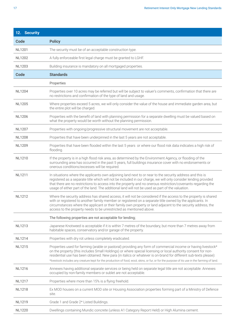| 12. Security  |                                                                                                                                                                                                                                                                                                                                                                                                                                                                                                    |
|---------------|----------------------------------------------------------------------------------------------------------------------------------------------------------------------------------------------------------------------------------------------------------------------------------------------------------------------------------------------------------------------------------------------------------------------------------------------------------------------------------------------------|
| <b>Code</b>   | <b>Policy</b>                                                                                                                                                                                                                                                                                                                                                                                                                                                                                      |
| <b>NL1201</b> | The security must be of an acceptable construction type.                                                                                                                                                                                                                                                                                                                                                                                                                                           |
| <b>NL1202</b> | A fully enforceable first legal charge must be granted to LGHF.                                                                                                                                                                                                                                                                                                                                                                                                                                    |
| <b>NL1203</b> | Building insurance is mandatory on all mortgaged properties.                                                                                                                                                                                                                                                                                                                                                                                                                                       |
| Code          | <b>Standards</b>                                                                                                                                                                                                                                                                                                                                                                                                                                                                                   |
|               | Properties                                                                                                                                                                                                                                                                                                                                                                                                                                                                                         |
| <b>NL1204</b> | Properties over 10 acres may be referred but will be subject to valuer's comments, confirmation that there are<br>no restrictions and confirmation of the type of land and usage.                                                                                                                                                                                                                                                                                                                  |
| <b>NL1205</b> | Where properties exceed 5 acres, we will only consider the value of the house and immediate garden area, but<br>the entire plot will be charged.                                                                                                                                                                                                                                                                                                                                                   |
| <b>NL1206</b> | Properties with the benefit of land with planning permission for a separate dwelling must be valued based on<br>what the property would be worth without the planning permission.                                                                                                                                                                                                                                                                                                                  |
| <b>NL1207</b> | Properties with ongoing/progressive structural movement are not acceptable.                                                                                                                                                                                                                                                                                                                                                                                                                        |
| <b>NL1208</b> | Properties that have been underpinned in the last 5 years are not acceptable.                                                                                                                                                                                                                                                                                                                                                                                                                      |
| <b>NL1209</b> | Properties that have been flooded within the last 5 years or where our flood risk data indicates a high risk of<br>flooding.                                                                                                                                                                                                                                                                                                                                                                       |
| NL1210        | If the property is in a high flood risk area, as determined by the Environment Agency, or flooding of the<br>surrounding area has occurred in the past 5 years, full buildings insurance cover with no endorsements or<br>onerous conditions/excesses will be required.                                                                                                                                                                                                                            |
| <b>NL1211</b> | In situations where the applicants own adjoining land next to or near to the security address and this is<br>registered as a separate title which will not be included in our charge, we will only consider lending provided<br>that there are no restrictions to access into the property and no onerous restriction/covenants regarding the<br>usage of either part of the land. The additional land will not be used as part of the valuation.                                                  |
| <b>NL1212</b> | Where the security address has shared access, it will not be considered if the access to the property is shared<br>with or registered to another family member or registered on a separate title owned by the applicants. In<br>circumstances where the applicant or their family own property or land adjacent to the security address, the<br>access to the property needs to be unrestricted as mentioned above.                                                                                |
|               | The following properties are not acceptable for lending;                                                                                                                                                                                                                                                                                                                                                                                                                                           |
| <b>NL1213</b> | Japanese Knotweed is acceptable if it is within 7 metres of the boundary, but more than 7 metres away from<br>habitable spaces, conservatory and/or garage of the property.                                                                                                                                                                                                                                                                                                                        |
| <b>NL1214</b> | Properties with dry rot unless completely eradicated.                                                                                                                                                                                                                                                                                                                                                                                                                                              |
| <b>NL1215</b> | Properties used for farming (arable or pastoral) providing any form of commercial income or having livestock*<br>on the property (this includes Small Holdings) or where special licensing or local authority consent for non-<br>residential use has been obtained. New para (in italics or whatever is on-brand for different sub-texts please):<br>*livestock includes any creature kept for the production of food, wool, skins, or fur, or for the purpose of its use in the farming of land. |
| <b>NL1216</b> | Annexes having additional separate services or being held on separate legal title are not acceptable. Annexes<br>occupied by non-family members or sublet are not acceptable.                                                                                                                                                                                                                                                                                                                      |
| <b>NL1217</b> | Properties where more than 15% is a flying freehold.                                                                                                                                                                                                                                                                                                                                                                                                                                               |
| <b>NL1218</b> | Ex MOD houses on a current MOD site or Housing Association properties forming part of a Ministry of Defence<br>site.                                                                                                                                                                                                                                                                                                                                                                               |
| <b>NL1219</b> | Grade 1 and Grade 2* Listed Buildings.                                                                                                                                                                                                                                                                                                                                                                                                                                                             |
| <b>NL1220</b> | Dwellings containing Mundic concrete (unless A1 Category Report Held) or High Alumina cement.                                                                                                                                                                                                                                                                                                                                                                                                      |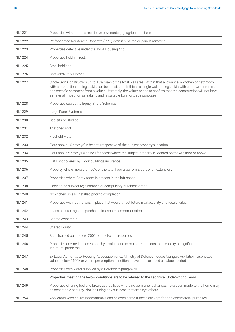| <b>NL1221</b> | Properties with onerous restrictive covenants (eg. agricultural ties).                                                                                                                                                                                                                                                                                                                                                             |
|---------------|------------------------------------------------------------------------------------------------------------------------------------------------------------------------------------------------------------------------------------------------------------------------------------------------------------------------------------------------------------------------------------------------------------------------------------|
| <b>NL1222</b> | Prefabricated Reinforced Concrete (PRC) even if repaired or panels removed.                                                                                                                                                                                                                                                                                                                                                        |
| NI 1223       | Properties defective under the 1984 Housing Act.                                                                                                                                                                                                                                                                                                                                                                                   |
| <b>NL1224</b> | Properties held in Trust.                                                                                                                                                                                                                                                                                                                                                                                                          |
| <b>NL1225</b> | Smallholdings.                                                                                                                                                                                                                                                                                                                                                                                                                     |
| <b>NL1226</b> | Caravans/Park Homes.                                                                                                                                                                                                                                                                                                                                                                                                               |
| <b>NL1227</b> | Single Skin Construction up to 15% max (of the total wall area) Within that allowance, a kitchen or bathroom<br>with a proportion of single skin can be considered if this is a single wall of single skin with underwriter referral<br>and specific comment from a valuer. Ultimately, the valuer needs to confirm that the construction will not have<br>a material impact on saleability and is suitable for mortgage purposes. |
| <b>NL1228</b> | Properties subject to Equity Share Schemes.                                                                                                                                                                                                                                                                                                                                                                                        |
| <b>NL1229</b> | Large Panel Systems.                                                                                                                                                                                                                                                                                                                                                                                                               |
| <b>NL1230</b> | Bed-sits or Studios.                                                                                                                                                                                                                                                                                                                                                                                                               |
| <b>NL1231</b> | Thatched roof.                                                                                                                                                                                                                                                                                                                                                                                                                     |
| <b>NL1232</b> | Freehold Flats.                                                                                                                                                                                                                                                                                                                                                                                                                    |
| <b>NL1233</b> | Flats above 10 storeys' in height irrespective of the subject property's location.                                                                                                                                                                                                                                                                                                                                                 |
| <b>NL1234</b> | Flats above 5 storeys with no lift access where the subject property is located on the 4th floor or above.                                                                                                                                                                                                                                                                                                                         |
| <b>NL1235</b> | Flats not covered by Block buildings insurance.                                                                                                                                                                                                                                                                                                                                                                                    |
| <b>NL1236</b> | Property where more than 50% of the total floor area forms part of an extension.                                                                                                                                                                                                                                                                                                                                                   |
| <b>NL1237</b> | Properties where Spray-foam is present in the loft space.                                                                                                                                                                                                                                                                                                                                                                          |
| <b>NL1238</b> | Liable to be subject to; clearance or compulsory purchase order.                                                                                                                                                                                                                                                                                                                                                                   |
| <b>NL1240</b> | No kitchen unless installed prior to completion.                                                                                                                                                                                                                                                                                                                                                                                   |
| <b>NL1241</b> | Properties with restrictions in place that would affect future marketability and resale value.                                                                                                                                                                                                                                                                                                                                     |
| <b>NL1242</b> | Loans secured against purchase timeshare accommodation.                                                                                                                                                                                                                                                                                                                                                                            |
| <b>NL1243</b> | Shared ownership.                                                                                                                                                                                                                                                                                                                                                                                                                  |
| <b>NL1244</b> | Shared Equity.                                                                                                                                                                                                                                                                                                                                                                                                                     |
| <b>NL1245</b> | Steel framed built before 2001 or steel-clad properties.                                                                                                                                                                                                                                                                                                                                                                           |
| <b>NL1246</b> | Properties deemed unacceptable by a valuer due to major restrictions to saleability or significant<br>structural problems.                                                                                                                                                                                                                                                                                                         |
| <b>NL1247</b> | Ex Local Authority, ex Housing Association or ex Ministry of Defence houses/bungalows/flats/maisonettes<br>valued below £100k or where pre-emption conditions have not exceeded clawback period.                                                                                                                                                                                                                                   |
| <b>NL1248</b> | Properties with water supplied by a Borehole/Spring/Well.                                                                                                                                                                                                                                                                                                                                                                          |
|               | Properties meeting the below conditions are to be referred to the Technical Underwriting Team                                                                                                                                                                                                                                                                                                                                      |
| <b>NL1249</b> | Properties offering bed and breakfast facilities where no permanent changes have been made to the home may<br>be acceptable security. Not including any business that employs others.                                                                                                                                                                                                                                              |
|               |                                                                                                                                                                                                                                                                                                                                                                                                                                    |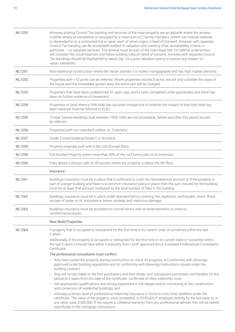| <b>NL1250</b> | Annexes sharing Council Tax banding and services of the main property are acceptable where the annexe<br>is either empty at completion or occupied by a maximum of 2 family members (which can include relatives<br>or dependant's) or a contracted live-in carer, each of whom signs a Deed of Consent. Annexes with separate<br>Council Tax banding can be acceptable subject to valuation and meeting other acceptability criteria, in<br>particular - no separate services. The annexe must be part of the main legal title. On referral underwriters<br>will consider the circumstances and follow existing rules on deed of consent. Annexes with separate Council<br>Tax bandings should be highlighted to valuer (eg. via a post valuation query) to assess any impact on<br>value/ saleability. |
|---------------|----------------------------------------------------------------------------------------------------------------------------------------------------------------------------------------------------------------------------------------------------------------------------------------------------------------------------------------------------------------------------------------------------------------------------------------------------------------------------------------------------------------------------------------------------------------------------------------------------------------------------------------------------------------------------------------------------------------------------------------------------------------------------------------------------------|
| <b>NL1251</b> | Non-traditional construction where the Valuer advises it is widely mortgageable and has high market demand.                                                                                                                                                                                                                                                                                                                                                                                                                                                                                                                                                                                                                                                                                              |
| <b>NL1252</b> | Properties with >10 acres can be referred. Where properties exceed 5 acres, we will only consider the value of<br>the house and the immediate garden area, the entire plot will be charged.                                                                                                                                                                                                                                                                                                                                                                                                                                                                                                                                                                                                              |
| <b>NL1253</b> | Properties that have been underpinned 5+ years ago, works were completed under guarantees and there has<br>been no further evidence of movement.                                                                                                                                                                                                                                                                                                                                                                                                                                                                                                                                                                                                                                                         |
| <b>NL1254</b> | Properties or land where a Sink Hole has occurred irrespective of whether the impact of that Sink Hole has<br>been resolved must be referred to ELSC.                                                                                                                                                                                                                                                                                                                                                                                                                                                                                                                                                                                                                                                    |
| <b>NL1255</b> | Timber framed dwellings built between 1900-1960 are not acceptable, before and after this period should<br>be referred.                                                                                                                                                                                                                                                                                                                                                                                                                                                                                                                                                                                                                                                                                  |
| <b>NL1256</b> | Properties with non-standard utilities, ie. 2 kitchens.                                                                                                                                                                                                                                                                                                                                                                                                                                                                                                                                                                                                                                                                                                                                                  |
| <b>NL1257</b> | Grade 2 listed building/Grade C in Scotland.                                                                                                                                                                                                                                                                                                                                                                                                                                                                                                                                                                                                                                                                                                                                                             |
| <b>NL1258</b> | Property originally built with a flat roof (Except flats).                                                                                                                                                                                                                                                                                                                                                                                                                                                                                                                                                                                                                                                                                                                                               |
| <b>NL1259</b> | Flat Roofed Property where more than 50% of the roof forms part of an extension.                                                                                                                                                                                                                                                                                                                                                                                                                                                                                                                                                                                                                                                                                                                         |
| <b>NL1260</b> | Flats above 5 storeys with no lift access where the property is below the 4th floor.                                                                                                                                                                                                                                                                                                                                                                                                                                                                                                                                                                                                                                                                                                                     |
|               | Insurance                                                                                                                                                                                                                                                                                                                                                                                                                                                                                                                                                                                                                                                                                                                                                                                                |
| <b>NL1261</b> | Buildings Insurance must be in place that is sufficient to cover the reinstatement amount or if the property is<br>part of a larger building and there is a common insurance policy in place, then the sum insured for the building<br>must be at least that amount multiplied by the total number of flats in the building.                                                                                                                                                                                                                                                                                                                                                                                                                                                                             |
| <b>NL1262</b> | Buildings Insurance must be in place under standard terms covering; fire, explosion, earthquake, storm, flood,<br>escape of water or oil, subsidence, heave, landslip and malicious damage.                                                                                                                                                                                                                                                                                                                                                                                                                                                                                                                                                                                                              |
| <b>NL1263</b> | Buildings insurance must be accepted on normal terms with no endorsements or onerous<br>conditions/excesses.                                                                                                                                                                                                                                                                                                                                                                                                                                                                                                                                                                                                                                                                                             |
|               | <b>New Build Properties</b>                                                                                                                                                                                                                                                                                                                                                                                                                                                                                                                                                                                                                                                                                                                                                                              |
| <b>NL1264</b> | A property that is occupied or transacted for the first time in its current state or converted within the last<br>2 years.                                                                                                                                                                                                                                                                                                                                                                                                                                                                                                                                                                                                                                                                               |
|               | Additionally, if the property is occupied or transacted for the first time in its current state or converted within<br>the last 6 years it should have either a warranty from LGHF approved list or a suitable Professional Consultants<br>Certificate.                                                                                                                                                                                                                                                                                                                                                                                                                                                                                                                                                  |
|               | The professional consultants must confirm.                                                                                                                                                                                                                                                                                                                                                                                                                                                                                                                                                                                                                                                                                                                                                               |
|               | • they have visited the property during construction to check its progress, its conformity with drawings<br>approved under building regulations and its conformity with drawings/instructions issued under the<br>building contract.                                                                                                                                                                                                                                                                                                                                                                                                                                                                                                                                                                     |
|               | • they will remain liable to the first purchasers and their lender and subsequent purchasers and lenders for the<br>period of 6 years from the date of the certificate; confirmed on their indemnity cover.                                                                                                                                                                                                                                                                                                                                                                                                                                                                                                                                                                                              |
|               | has appropriate qualifications and strong experience in the design and/or monitoring of the construction<br>$\bullet$ .<br>and conversion of residential buildings; and                                                                                                                                                                                                                                                                                                                                                                                                                                                                                                                                                                                                                                  |
|               | will keep a certain level of professional indemnity insurance in force to cover their liabilities under the<br>٠<br>certificate. The value of the property once completed; or £250,000 if employed directly by the borrower or, in<br>any other case, £500,000. If we require a collateral warranty from any professional adviser, this will be stated<br>specifically in the mortgage instructions.                                                                                                                                                                                                                                                                                                                                                                                                     |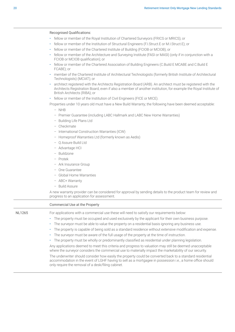|        | fellow or member of the Royal Institution of Chartered Surveyors (FRICS or MRICS); or                                                                                                                                                                           |
|--------|-----------------------------------------------------------------------------------------------------------------------------------------------------------------------------------------------------------------------------------------------------------------|
|        | fellow or member of the Institution of Structural Engineers (F.I.Struct.E or M.I.Struct.E); or<br>٠                                                                                                                                                             |
|        | fellow or member of the Chartered Institute of Building (FCIOB or MCIOB); or<br>٠                                                                                                                                                                               |
|        | fellow or member of the Architecture and Surveying Institute (FASI or MASI) (only if in conjunction with a<br>FCIOB or MCIOB qualification); or                                                                                                                 |
|        | fellow or member of the Chartered Association of Building Engineers (C.Build E MCABE and C.Build E<br>FCABE); or                                                                                                                                                |
|        | member of the Chartered Institute of Architectural Technologists (formerly British Institute of Architectural<br>Technologists) (MCIAT); or                                                                                                                     |
|        | architect registered with the Architects Registration Board (ARB). An architect must be registered with the<br>Architects Registration Board, even if also a member of another institution, for example the Royal Institute of<br>British Architects (RIBA); or |
|        | fellow or member of the Institution of Civil Engineers (FICE or MICE).<br>٠                                                                                                                                                                                     |
|        | Properties under 10 years old must have a New Build Warranty; the following have been deemed acceptable:                                                                                                                                                        |
|        | $-$ NHB                                                                                                                                                                                                                                                         |
|        | - Premier Guarantee (including LABC Hallmark and LABC New Home Warranties)                                                                                                                                                                                      |
|        | - Building Life Plans Ltd                                                                                                                                                                                                                                       |
|        | - Checkmate                                                                                                                                                                                                                                                     |
|        | - International Construction Warranties (ICW)                                                                                                                                                                                                                   |
|        | - Homeproof Warranties Ltd (formerly known as Aedis)                                                                                                                                                                                                            |
|        | - Q Assure Build Ltd                                                                                                                                                                                                                                            |
|        | - Advantage HCI                                                                                                                                                                                                                                                 |
|        | - Buildzone                                                                                                                                                                                                                                                     |
|        | - Protek                                                                                                                                                                                                                                                        |
|        | - Ark Insurance Group                                                                                                                                                                                                                                           |
|        | - One Guarantee                                                                                                                                                                                                                                                 |
|        | - Global Home Warranties                                                                                                                                                                                                                                        |
|        | - ABC+ Warranty                                                                                                                                                                                                                                                 |
|        | - Build Assure                                                                                                                                                                                                                                                  |
|        | A new warranty provider can be considered for approval by sending details to the product team for review and<br>progress to an application for assessment.                                                                                                      |
|        | Commercial Use at the Property                                                                                                                                                                                                                                  |
| NL1265 | For applications with a commercial use these will need to satisfy our requirements below:                                                                                                                                                                       |
|        | The property must be occupied and used exclusively by the applicant for their own business purpose.<br>۰                                                                                                                                                        |
|        | The surveyor must be able to value the property on a residential basis ignoring any business use.<br>۰                                                                                                                                                          |
|        | The property is capable of being sold as a standard residence without extensive modification and expense.<br>۰                                                                                                                                                  |
|        | The surveyor must be aware of the full usage of the property at the time of instruction.<br>٠                                                                                                                                                                   |
|        | The property must be wholly or predominantly classified as residential under planning legislation.<br>٠                                                                                                                                                         |
|        | Any applications deemed to meet this criteria and progress to valuation may still be deemed unacceptable<br>where the surveyor considers the commercial use to materially impact the marketability of our security.                                             |
|        | The underwriter should consider how easily the property could be converted back to a standard residential<br>accommodation in the event of LGHF having to sell as a mortgagee in possession i.e., a home office should                                          |

only require the removal of a desk/filing cabinet.

Recognised Qualifications: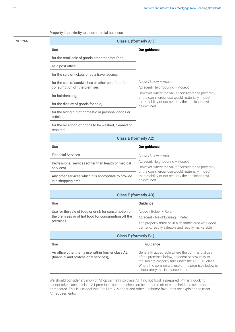|               | Property in proximity to a commercial business                                     |                                                                                                                                      |
|---------------|------------------------------------------------------------------------------------|--------------------------------------------------------------------------------------------------------------------------------------|
| <b>NL1266</b> | <b>Class E (formerly A1)</b>                                                       |                                                                                                                                      |
|               | <b>Use</b>                                                                         | Our guidance                                                                                                                         |
|               | for the retail sale of goods other than hot food,                                  |                                                                                                                                      |
|               | as a post office,                                                                  |                                                                                                                                      |
|               | for the sale of tickets or as a travel agency,                                     |                                                                                                                                      |
|               | for the sale of sandwiches or other cold food for<br>consumption off the premises, | Above/Below - Accept<br>Adjacent/Neighbouring - Accept                                                                               |
|               | for hairdressing,                                                                  | However, where the valuer considers the proximity<br>of the commercial use would materially impact                                   |
|               | for the display of goods for sale,                                                 | marketability of our security the application will<br>be declined.                                                                   |
|               | for the hiring out of domestic or personal goods or<br>articles,                   |                                                                                                                                      |
|               | for the reception of goods to be washed, cleaned or<br>repaired                    |                                                                                                                                      |
|               |                                                                                    | <b>Class E (formerly A2)</b>                                                                                                         |
|               | <b>Use</b>                                                                         | Our guidance                                                                                                                         |
|               | <b>Financial Services</b>                                                          | Above/Below - Accept                                                                                                                 |
|               | Professional services (other than health or medical<br>services)                   | Adjacent/Neighbouring - Accept<br>However, where the valuer considers the proximity<br>of the commercial use would materially impact |
|               | Any other services which it is appropriate to provide<br>in a shopping area.       | marketability of our security the application will<br>be declined.                                                                   |
|               |                                                                                    |                                                                                                                                      |
|               |                                                                                    | <b>Class E (formerly A3)</b>                                                                                                         |
|               | <b>Use</b>                                                                         | <b>Guidance</b>                                                                                                                      |
|               | Use for the sale of food or drink for consumption on                               | Above / Below - Refer                                                                                                                |

premises.

the premises or of hot food for consumption off the Adjacent / Neighbouring – Refer The property must be in a desirable area with good demand, readily saleable and readily marketable.

#### **Class E (formerly B1)**

| Use                                                                                         | Guidance                                                                                                                                                                                                                                             |
|---------------------------------------------------------------------------------------------|------------------------------------------------------------------------------------------------------------------------------------------------------------------------------------------------------------------------------------------------------|
| An office other than a use within former class A2<br>(financial and professional services), | Generally, acceptable where the commercial use<br>of the premises below, adjacent or proximity to<br>the subject property falls under the 'OFFICE' class.<br>Where the commercial use of the premises below is<br>a laboratory this is unacceptable. |

We should consider a Sandwich Shop can fall into class A1 if no hot food is prepared. Primary cooking cannot take place on class A1 premises, but hot dishes can be prepared off site and held at a set temperature or reheated. This is a model that Eat, Pret-A-Manger and other lunchtime favourites are exploiting to meet A1 requirements.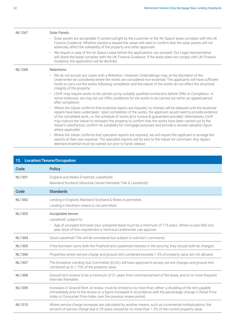<span id="page-21-0"></span>

| <b>NL1267</b> | <b>Solar Panels</b>                                                                                                                                                                                                                                                                                                                                                                                                                                                                                                                                                                                 |
|---------------|-----------------------------------------------------------------------------------------------------------------------------------------------------------------------------------------------------------------------------------------------------------------------------------------------------------------------------------------------------------------------------------------------------------------------------------------------------------------------------------------------------------------------------------------------------------------------------------------------------|
|               | · Solar panels are acceptable if owned outright by the customer or the 'Air Space' lease complies with the UK<br>Finance Guidance. Whether owned or leased the valuer will need to confirm that the solar panels will not<br>adversely affect the saleability of the property and other approvals.                                                                                                                                                                                                                                                                                                  |
|               | We require a copy of the Air Space Lease before the applications can proceed. Our Legal representative<br>$\bullet$<br>will check the lease complies with the UK Finance Guidance. If the lease does not comply with UK Finance<br>Guidance, the application will be declined.                                                                                                                                                                                                                                                                                                                      |
| <b>NL1268</b> | Retentions                                                                                                                                                                                                                                                                                                                                                                                                                                                                                                                                                                                          |
|               | • We do not accept any cases with a Retention. However, Undertakings may, at the discretion of the<br>Underwriter be considered where the works are considered non-essential. The applicants will have sufficient<br>funds to carry out the works following completion and the nature of the works do not affect the structural<br>integrity of the property.                                                                                                                                                                                                                                       |
|               | LGHF may require works to be carried out by suitably qualified contractors before Offer or Completion. In<br>$\bullet$<br>some instances, we may set out Offer conditions for the works to be carried out within an agreed period<br>after completion.                                                                                                                                                                                                                                                                                                                                              |
|               | Where the Valuer confirms that essential repairs are required, no monies will be released until the essential<br>$\bullet$<br>repairs have been undertaken. Upon completion of the works, the applicant would need to provide evidence<br>of the completed work, i.e. the schedule of works &/or invoice & guarantees provided. Alternatively, LGHF<br>may instruct the Valuer to reinspect the property to confirm that the works have been carried out to the<br>Valuer's satisfaction, confirm its suitability for mortgage purposes and provide a revised valuation figure<br>where applicable. |
|               | • Where the Valuer confirms that specialist reports are required, we will require the applicant to arrange the<br>reports at their own expense. The specialist reports will be sent to the Valuer for comment. Any repairs<br>deemed essential must be carried out prior to funds release.                                                                                                                                                                                                                                                                                                          |

| 13. Location/Tenure/Occupation |                                                                                                                                                                                                                                                                                                   |  |
|--------------------------------|---------------------------------------------------------------------------------------------------------------------------------------------------------------------------------------------------------------------------------------------------------------------------------------------------|--|
| Code                           | <b>Policy</b>                                                                                                                                                                                                                                                                                     |  |
| <b>NL1301</b>                  | England and Wales (Freehold, Leasehold)<br>Mainland Scotland (Absolute Owner/Heritable Title & Leasehold)                                                                                                                                                                                         |  |
| <b>Code</b>                    | <b>Standards</b>                                                                                                                                                                                                                                                                                  |  |
| <b>NL1302</b>                  | Lending in England, Mainland Scotland & Wales is permitted.<br>Lending in Northern Ireland is not permitted.                                                                                                                                                                                      |  |
| <b>NL1303</b>                  | Acceptable tenure:<br>Leasehold, subject to;<br>• Age of youngest borrower plus unexpired lease must be a minimum of 175 years. Where a case falls one<br>year short of this requirement a Technical Underwriter can approve.                                                                     |  |
| <b>NL1304</b>                  | Good Leasehold Title will be considered but subject to solicitor's comments.                                                                                                                                                                                                                      |  |
| <b>NL1305</b>                  | If the borrower owns both the Freehold and Leasehold interests in the security, they should both be charged.                                                                                                                                                                                      |  |
| <b>NL1306</b>                  | Properties where service charge and ground rent combined exceeds 1.5% of property value are not allowed.                                                                                                                                                                                          |  |
| <b>NL1307</b>                  | The Exception Lending Sub Committee (ELSC) will have approval to accept service charges and ground rent<br>combined up to 1.75% of the property value.                                                                                                                                            |  |
| <b>NL1308</b>                  | Ground rent reviews to be a minimum of 21 years from commencement of the lease, and at no more frequent<br>intervals thereafter.                                                                                                                                                                  |  |
| <b>NL1309</b>                  | Increases in Ground Rent, at review, must be limited to no more than, either: a doubling of the rent payable<br>immediately prior to the review or, a figure increased in accordance with the percentage change in Retail Price<br>Index or Consumer Price Index over the previous review period. |  |
| <b>NL1310</b>                  | Where service charge increases are calculated by another means, such as incremental multiplications, the<br>amount of service charge due in 25 years should be no more than 1.5% of the current property value.                                                                                   |  |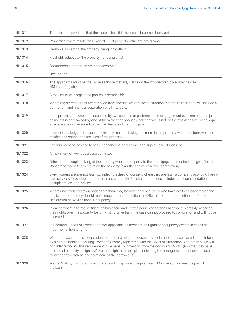| <b>NL1311</b> | There is not a provision that the lease is forfeit if the lessee becomes bankrupt.                                                                                                                                                                                                                                                                                                                                                                                                                                   |
|---------------|----------------------------------------------------------------------------------------------------------------------------------------------------------------------------------------------------------------------------------------------------------------------------------------------------------------------------------------------------------------------------------------------------------------------------------------------------------------------------------------------------------------------|
| <b>NL1312</b> | Properties where resale fees exceed 3% of property value are not allowed.                                                                                                                                                                                                                                                                                                                                                                                                                                            |
| <b>NL1313</b> | Heritable subject to; the property being in Scotland.                                                                                                                                                                                                                                                                                                                                                                                                                                                                |
| <b>NL1314</b> | Freehold, subject to; the property not being a flat.                                                                                                                                                                                                                                                                                                                                                                                                                                                                 |
| <b>NL1315</b> | Commonhold properties are not acceptable.                                                                                                                                                                                                                                                                                                                                                                                                                                                                            |
|               | Occupation                                                                                                                                                                                                                                                                                                                                                                                                                                                                                                           |
| <b>NL1316</b> | The applicants must be the same as those that are/will be on the Proprietorship Register held by<br>HM Land Registry.                                                                                                                                                                                                                                                                                                                                                                                                |
| <b>NL1317</b> | A maximum of 2 registered parties is permissible.                                                                                                                                                                                                                                                                                                                                                                                                                                                                    |
| <b>NL1318</b> | Where registered parties are removed from the title, we require satisfaction that the re-mortgage will include a<br>permanent and financial separation of all interests.                                                                                                                                                                                                                                                                                                                                             |
| NL1319        | If the property is owned and occupied by two spouses or partners, the mortgage must be taken out on a joint<br>basis. If it is only owned by one of them then the spouse / partner who is not on the title deeds will need legal<br>advice and must be added to the title deeds and the mortgage.                                                                                                                                                                                                                    |
| <b>NL1320</b> | In order for a lodger to be acceptable, they must be taking one room in the property where the borrower also<br>resides and sharing the facilities of the property.                                                                                                                                                                                                                                                                                                                                                  |
| <b>NL1321</b> | Lodgers must be advised to seek independent legal advice and sign a Deed of Consent.                                                                                                                                                                                                                                                                                                                                                                                                                                 |
| <b>NL1322</b> | A maximum of two lodgers are permitted.                                                                                                                                                                                                                                                                                                                                                                                                                                                                              |
| <b>NL1323</b> | Other adult occupiers living at the property who are not party to their mortgage are required to sign a Deed of<br>Consent to waive to any claim on the property (over the age of 17 before completion).                                                                                                                                                                                                                                                                                                             |
| <b>NL1324</b> | Live-in-carers are exempt from completing a deed of consent where they are from a company providing live-in-<br>care services (providing short term rolling care only). Solicitor instructions include the recommendation that the<br>occupier takes legal advice.                                                                                                                                                                                                                                                   |
| <b>NL1325</b> | Where underwriters are on notice that there may be additional occupiers who have not been declared on the<br>application form, they should make enquiries and condition the Offer of Loan for completion of a Customer<br>Declaration of No Additional Occupancy.                                                                                                                                                                                                                                                    |
| <b>NL1326</b> | In cases where a formal notification has been made that a person or persons has/have expressly. asserted<br>their rights over the property, be it in writing or verbally, the case cannot proceed to completion and will not be<br>accepted.                                                                                                                                                                                                                                                                         |
| <b>NL1327</b> | In Scotland, Deeds of Consent are not applicable as there are no rights of occupancy except in cases of<br>matrimonial home rights.                                                                                                                                                                                                                                                                                                                                                                                  |
| <b>NL1328</b> | Where the occupant is a dependant of unsound mind the occupier's declaration may be signed on their behalf<br>by a person holding Enduring Power of Attorney registered with the Court of Protection. Alternatively, we will<br>consider removing this requirement if we have confirmation from the occupier's Doctor (GP) that they have<br>no mental capacity to sign a Waiver and sight of a care plan indicating the arrangements that are in place<br>following the death or long-term care of the borrower(s). |
| <b>NL1329</b> | Marital Status; it is not sufficient for a residing spouse to sign a Deed of Consent, they must be party to<br>the loan.                                                                                                                                                                                                                                                                                                                                                                                             |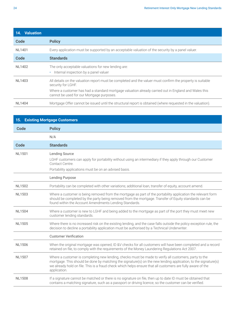<span id="page-23-0"></span>

| 14. Valuation |                                                                                                                                                   |
|---------------|---------------------------------------------------------------------------------------------------------------------------------------------------|
| Code          | <b>Policy</b>                                                                                                                                     |
| <b>NL1401</b> | Every application must be supported by an acceptable valuation of the security by a panel valuer.                                                 |
| Code          | <b>Standards</b>                                                                                                                                  |
| NL1402        | The only acceptable valuations for new lending are:<br>Internal inspection by a panel valuer                                                      |
| NL1403        | All details on the valuation report must be completed and the valuer must confirm the property is suitable<br>security for LGHF.                  |
|               | Where a customer has had a standard mortgage valuation already carried out in England and Wales this<br>cannot be used for our Mortgage purposes. |
| <b>NL1404</b> | Mortgage Offer cannot be issued until the structural report is obtained (where requested in the valuation).                                       |

| <b>15. Existing Mortgage Customers</b> |                                                                                                                                                                                                                                                                                                                                                        |  |
|----------------------------------------|--------------------------------------------------------------------------------------------------------------------------------------------------------------------------------------------------------------------------------------------------------------------------------------------------------------------------------------------------------|--|
| Code                                   | <b>Policy</b>                                                                                                                                                                                                                                                                                                                                          |  |
|                                        | N/A                                                                                                                                                                                                                                                                                                                                                    |  |
| Code                                   | <b>Standards</b>                                                                                                                                                                                                                                                                                                                                       |  |
| <b>NL1501</b>                          | <b>Lending Source</b><br>LGHF customers can apply for portability without using an intermediary if they apply through our Customer<br>Contact Centre.<br>Portability applications must be on an advised basis.                                                                                                                                         |  |
|                                        | <b>Lending Purpose</b>                                                                                                                                                                                                                                                                                                                                 |  |
| <b>NL1502</b>                          | Portability can be completed with other variations; additional loan, transfer of equity, account amend.                                                                                                                                                                                                                                                |  |
| <b>NL1503</b>                          | Where a customer is being removed from the mortgage as part of the portability application the relevant form<br>should be completed by the party being removed from the mortgage. Transfer of Equity standards can be<br>found within the Account Amendments Lending Standards.                                                                        |  |
| <b>NL1504</b>                          | Where a customer is new to LGHF and being added to the mortgage as part of the port they must meet new<br>customer lending standards.                                                                                                                                                                                                                  |  |
| <b>NL1505</b>                          | Where there is no increased risk on the existing lending, and the case falls outside the policy exception rule, the<br>decision to decline a portability application must be authorised by a Technical Underwriter.                                                                                                                                    |  |
|                                        | <b>Customer Verification</b>                                                                                                                                                                                                                                                                                                                           |  |
| <b>NL1506</b>                          | When the original mortgage was opened, ID &V checks for all customers will have been completed and a record<br>retained on file, to comply with the requirements of the Money Laundering Regulations Act 2007.                                                                                                                                         |  |
| <b>NL1507</b>                          | Where a customer is completing new lending, checks must be made to verify all customers, party to the<br>mortgage. This should be done by matching the signature(s) on the new lending application, to the signature(s)<br>we already hold on file. This is a fraud check which helps ensure that all customers are fully aware of the<br>application. |  |
| <b>NL1508</b>                          | If a signature cannot be matched or there is no signature on file, then up to date ID must be obtained that<br>contains a matching signature, such as a passport or driving licence, so the customer can be verified.                                                                                                                                  |  |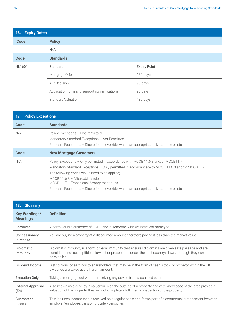<span id="page-24-0"></span>

| 16. Expiry Dates |                                               |                     |  |
|------------------|-----------------------------------------------|---------------------|--|
| <b>Code</b>      | <b>Policy</b>                                 |                     |  |
|                  | N/A                                           |                     |  |
| <b>Code</b>      | <b>Standards</b>                              |                     |  |
| <b>NL1601</b>    | Standard                                      | <b>Expiry Point</b> |  |
|                  | Mortgage Offer                                | 180 days            |  |
|                  | <b>AIP Decision</b>                           | 90 days             |  |
|                  | Application form and supporting verifications | 90 days             |  |
|                  | <b>Standard Valuation</b>                     | 180 days            |  |

| 17. Policy Exceptions |                                                                                                                                                                                                                                                                                                                                                                                                                        |  |
|-----------------------|------------------------------------------------------------------------------------------------------------------------------------------------------------------------------------------------------------------------------------------------------------------------------------------------------------------------------------------------------------------------------------------------------------------------|--|
| Code                  | <b>Standards</b>                                                                                                                                                                                                                                                                                                                                                                                                       |  |
| N/A                   | Policy Exceptions - Not Permitted<br>Mandatory Standard Exceptions - Not Permitted<br>Standard Exceptions - Discretion to override, where an appropriate risk rationale exists                                                                                                                                                                                                                                         |  |
| Code                  | <b>New Mortgage Customers</b>                                                                                                                                                                                                                                                                                                                                                                                          |  |
| N/A                   | Policy Exceptions - Only permitted in accordance with MCOB 11.6.3 and/or MCOB11.7<br>Mandatory Standard Exceptions - Only permitted in accordance with MCOB 11.6.3 and/or MCOB11.7<br>The following codes would need to be applied;<br>MCOB $11.6.3$ - Affordability rules<br>$MCOB$ 11.7 – Transitional Arrangement rules<br>Standard Exceptions - Discretion to override, where an appropriate risk rationale exists |  |

| 18.<br><b>Glossary</b>                  |                                                                                                                                                                                                                                     |
|-----------------------------------------|-------------------------------------------------------------------------------------------------------------------------------------------------------------------------------------------------------------------------------------|
| <b>Key Wordings/</b><br><b>Meanings</b> | <b>Definition</b>                                                                                                                                                                                                                   |
| <b>Borrower</b>                         | A borrower is a customer of LGHF and is someone who we have lent money to.                                                                                                                                                          |
| Concessionary<br>Purchase               | You are buying a property at a discounted amount, therefore paying it less than the market value.                                                                                                                                   |
| Diplomatic<br>Immunity                  | Diplomatic immunity is a form of legal immunity that ensures diplomats are given safe passage and are<br>considered not susceptible to lawsuit or prosecution under the host country's laws, although they can still<br>be expelled |
| Dividend Income                         | Distributions of earnings to shareholders that may be in the form of cash, stock, or property, within the UK<br>dividends are taxed at a different amount.                                                                          |
| <b>Execution Only</b>                   | Taking a mortgage out without receiving any advice from a qualified person                                                                                                                                                          |
| <b>External Appraisal</b><br>(EA)       | Also known as a drive by, a valuer will visit the outside of a property and with knowledge of the area provide a<br>valuation of the property, they will not complete a full internal inspection of the property.                   |
| Guaranteed<br>Income                    | This includes income that is received on a regular basis and forms part of a contractual arrangement between<br>employer/employee, pension provider/pensioner.                                                                      |